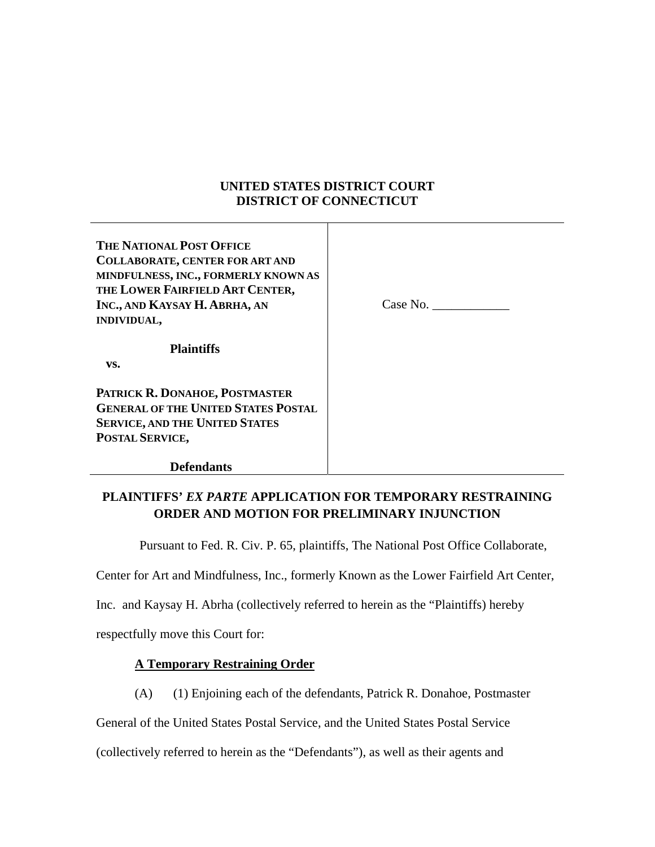# **UNITED STATES DISTRICT COURT DISTRICT OF CONNECTICUT**

**THE NATIONAL POST OFFICE COLLABORATE, CENTER FOR ART AND MINDFULNESS, INC., FORMERLY KNOWN AS THE LOWER FAIRFIELD ART CENTER, INC., AND KAYSAY H. ABRHA, AN INDIVIDUAL,** 

Case No.

 **Plaintiffs** 

 **vs.** 

**PATRICK R. DONAHOE, POSTMASTER GENERAL OF THE UNITED STATES POSTAL SERVICE, AND THE UNITED STATES POSTAL SERVICE,** 

 **Defendants** 

# **PLAINTIFFS'** *EX PARTE* **APPLICATION FOR TEMPORARY RESTRAINING ORDER AND MOTION FOR PRELIMINARY INJUNCTION**

Pursuant to Fed. R. Civ. P. 65, plaintiffs, The National Post Office Collaborate,

Center for Art and Mindfulness, Inc., formerly Known as the Lower Fairfield Art Center,

Inc. and Kaysay H. Abrha (collectively referred to herein as the "Plaintiffs) hereby

respectfully move this Court for:

# **A Temporary Restraining Order**

(A) (1) Enjoining each of the defendants, Patrick R. Donahoe, Postmaster

General of the United States Postal Service, and the United States Postal Service

(collectively referred to herein as the "Defendants"), as well as their agents and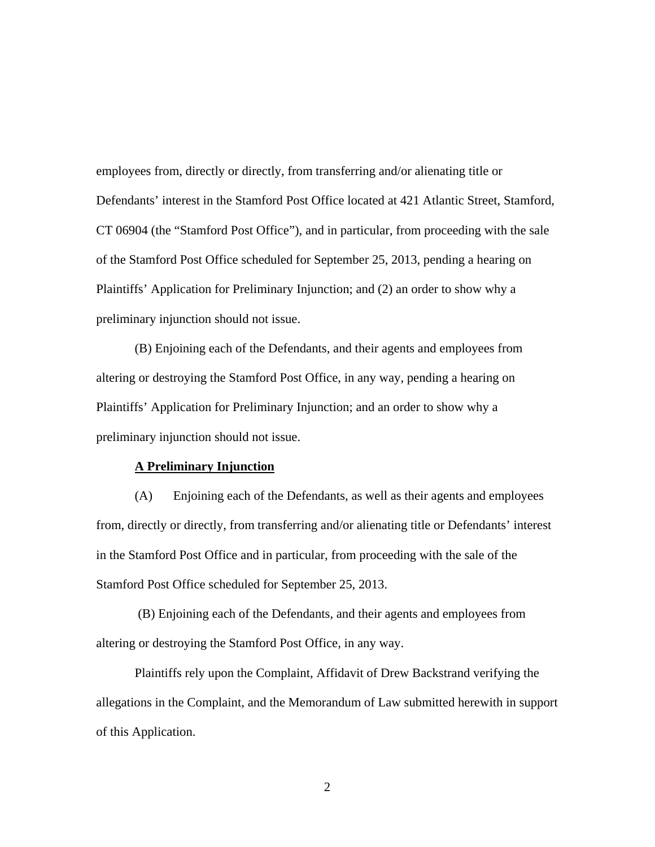employees from, directly or directly, from transferring and/or alienating title or Defendants' interest in the Stamford Post Office located at 421 Atlantic Street, Stamford, CT 06904 (the "Stamford Post Office"), and in particular, from proceeding with the sale of the Stamford Post Office scheduled for September 25, 2013, pending a hearing on Plaintiffs' Application for Preliminary Injunction; and (2) an order to show why a preliminary injunction should not issue.

(B) Enjoining each of the Defendants, and their agents and employees from altering or destroying the Stamford Post Office, in any way, pending a hearing on Plaintiffs' Application for Preliminary Injunction; and an order to show why a preliminary injunction should not issue.

#### **A Preliminary Injunction**

(A) Enjoining each of the Defendants, as well as their agents and employees from, directly or directly, from transferring and/or alienating title or Defendants' interest in the Stamford Post Office and in particular, from proceeding with the sale of the Stamford Post Office scheduled for September 25, 2013.

 (B) Enjoining each of the Defendants, and their agents and employees from altering or destroying the Stamford Post Office, in any way.

Plaintiffs rely upon the Complaint, Affidavit of Drew Backstrand verifying the allegations in the Complaint, and the Memorandum of Law submitted herewith in support of this Application.

2